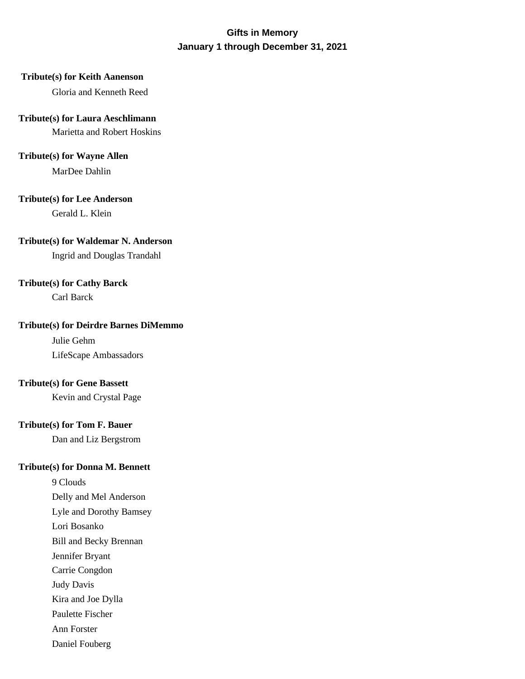# **Gifts in Memory January 1 through December 31, 2021**

## **Tribute(s) for Keith Aanenson**

Gloria and Kenneth Reed

## **Tribute(s) for Laura Aeschlimann**

Marietta and Robert Hoskins

## **Tribute(s) for Wayne Allen**

MarDee Dahlin

## **Tribute(s) for Lee Anderson**

Gerald L. Klein

## **Tribute(s) for Waldemar N. Anderson**

Ingrid and Douglas Trandahl

## **Tribute(s) for Cathy Barck**

Carl Barck

## **Tribute(s) for Deirdre Barnes DiMemmo**

Julie Gehm LifeScape Ambassadors

## **Tribute(s) for Gene Bassett**

Kevin and Crystal Page

## **Tribute(s) for Tom F. Bauer**

Dan and Liz Bergstrom

# **Tribute(s) for Donna M. Bennett**

9 Clouds Delly and Mel Anderson Lyle and Dorothy Bamsey Lori Bosanko Bill and Becky Brennan Jennifer Bryant Carrie Congdon Judy Davis Kira and Joe Dylla Paulette Fischer Ann Forster

Daniel Fouberg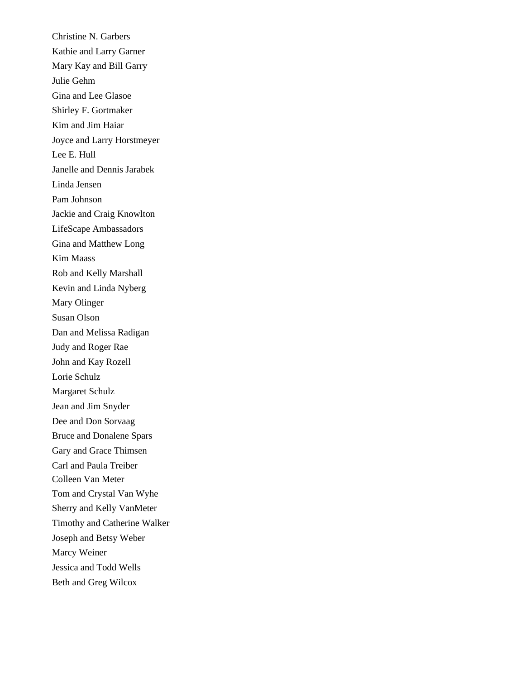Christine N. Garbers Kathie and Larry Garner Mary Kay and Bill Garry Julie Gehm Gina and Lee Glasoe Shirley F. Gortmaker Kim and Jim Haiar Joyce and Larry Horstmeyer Lee E. Hull Janelle and Dennis Jarabek Linda Jensen Pam Johnson Jackie and Craig Knowlton LifeScape Ambassadors Gina and Matthew Long Kim Maass Rob and Kelly Marshall Kevin and Linda Nyberg Mary Olinger Susan Olson Dan and Melissa Radigan Judy and Roger Rae John and Kay Rozell Lorie Schulz Margaret Schulz Jean and Jim Snyder Dee and Don Sorvaag Bruce and Donalene Spars Gary and Grace Thimsen Carl and Paula Treiber Colleen Van Meter Tom and Crystal Van Wyhe Sherry and Kelly VanMeter Timothy and Catherine Walker Joseph and Betsy Weber Marcy Weiner Jessica and Todd Wells Beth and Greg Wilcox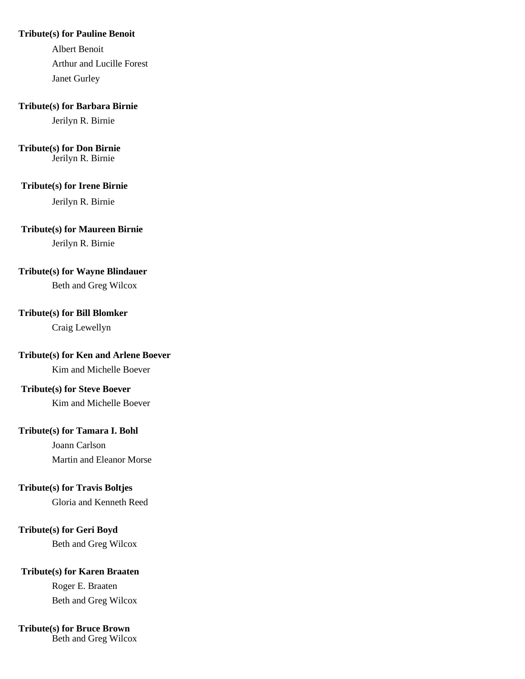#### **Tribute(s) for Pauline Benoit**

Albert Benoit Arthur and Lucille Forest Janet Gurley

#### **Tribute(s) for Barbara Birnie**

Jerilyn R. Birnie

#### **Tribute(s) for Don Birnie** Jerilyn R. Birnie

## **Tribute(s) for Irene Birnie**

Jerilyn R. Birnie

### **Tribute(s) for Maureen Birnie**

Jerilyn R. Birnie

### **Tribute(s) for Wayne Blindauer**

Beth and Greg Wilcox

### **Tribute(s) for Bill Blomker**

Craig Lewellyn

# **Tribute(s) for Ken and Arlene Boever**

Kim and Michelle Boever

## **Tribute(s) for Steve Boever**

Kim and Michelle Boever

## **Tribute(s) for Tamara I. Bohl**

Joann Carlson Martin and Eleanor Morse

### **Tribute(s) for Travis Boltjes**

Gloria and Kenneth Reed

## **Tribute(s) for Geri Boyd**

Beth and Greg Wilcox

## **Tribute(s) for Karen Braaten**

Roger E. Braaten Beth and Greg Wilcox

## **Tribute(s) for Bruce Brown**

Beth and Greg Wilcox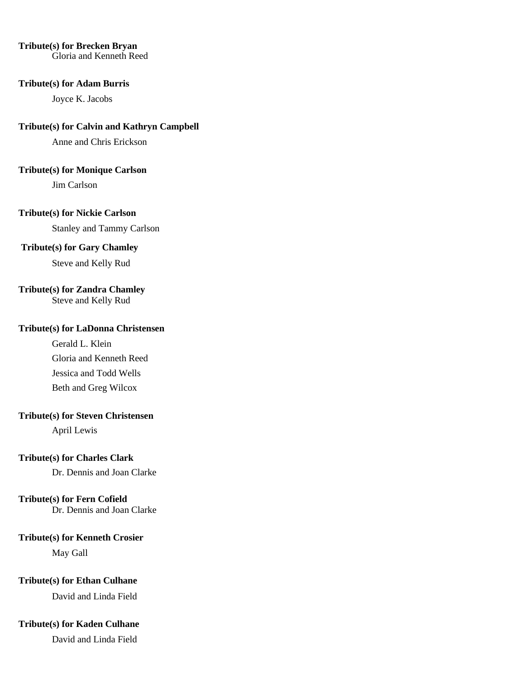## **Tribute(s) for Brecken Bryan**

Gloria and Kenneth Reed

#### **Tribute(s) for Adam Burris**

Joyce K. Jacobs

## **Tribute(s) for Calvin and Kathryn Campbell**

Anne and Chris Erickson

### **Tribute(s) for Monique Carlson**

Jim Carlson

## **Tribute(s) for Nickie Carlson**

Stanley and Tammy Carlson

## **Tribute(s) for Gary Chamley**

Steve and Kelly Rud

## **Tribute(s) for Zandra Chamley**

Steve and Kelly Rud

## **Tribute(s) for LaDonna Christensen**

Gerald L. Klein Gloria and Kenneth Reed Jessica and Todd Wells Beth and Greg Wilcox

## **Tribute(s) for Steven Christensen**

April Lewis

## **Tribute(s) for Charles Clark**

Dr. Dennis and Joan Clarke

## **Tribute(s) for Fern Cofield**

Dr. Dennis and Joan Clarke

## **Tribute(s) for Kenneth Crosier**

May Gall

## **Tribute(s) for Ethan Culhane**

David and Linda Field

## **Tribute(s) for Kaden Culhane**

David and Linda Field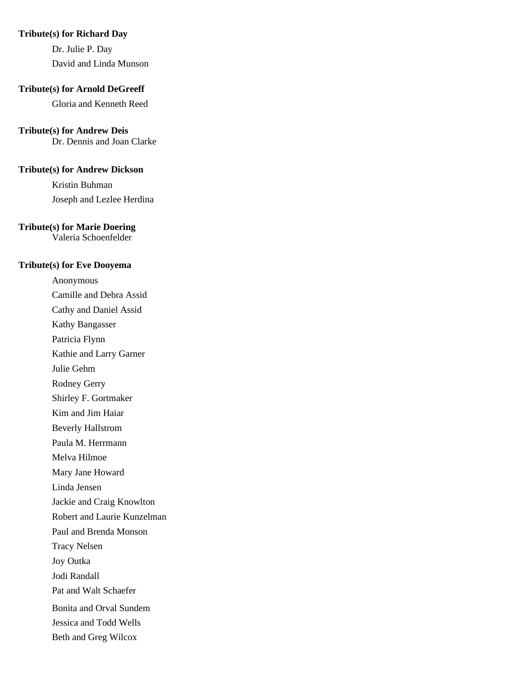#### **Tribute(s) for Richard Day**

Dr. Julie P. Day David and Linda Munson

#### **Tribute(s) for Arnold DeGreeff**

Gloria and Kenneth Reed

### **Tribute(s) for Andrew Deis**

Dr. Dennis and Joan Clarke

#### **Tribute(s) for Andrew Dickson**

Kristin Buhman Joseph and Lezlee Herdina

## **Tribute(s) for Marie Doering**

Valeria Schoenfelder

#### **Tribute(s) for Eve Dooyema**

Anonymous Camille and Debra Assid Cathy and Daniel Assid Kathy Bangasser Patricia Flynn Kathie and Larry Garner Julie Gehm Rodney Gerry Shirley F. Gortmaker Kim and Jim Haiar Beverly Hallstrom Paula M. Herrmann Melva Hilmoe Mary Jane Howard Linda Jensen Jackie and Craig Knowlton Robert and Laurie Kunzelman Paul and Brenda Monson Tracy Nelsen Joy Outka Jodi Randall Pat and Walt Schaefer Bonita and Orval Sundem Jessica and Todd Wells Beth and Greg Wilcox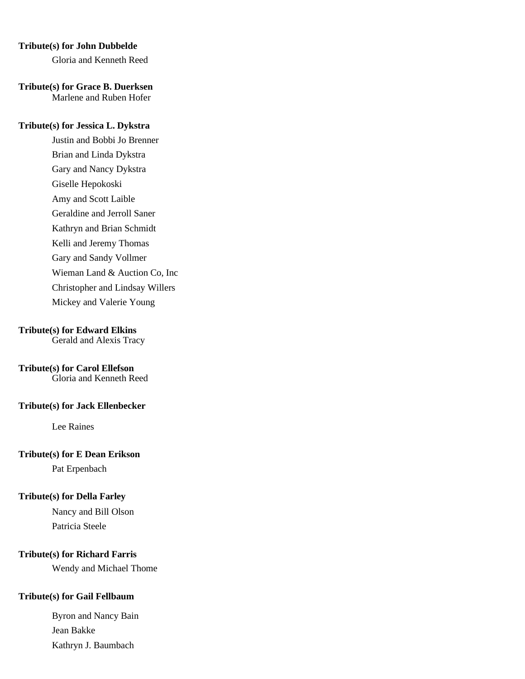#### **Tribute(s) for John Dubbelde**

Gloria and Kenneth Reed

**Tribute(s) for Grace B. Duerksen** Marlene and Ruben Hofer

### **Tribute(s) for Jessica L. Dykstra**

Justin and Bobbi Jo Brenner Brian and Linda Dykstra Gary and Nancy Dykstra Giselle Hepokoski Amy and Scott Laible Geraldine and Jerroll Saner Kathryn and Brian Schmidt Kelli and Jeremy Thomas Gary and Sandy Vollmer Wieman Land & Auction Co, Inc Christopher and Lindsay Willers Mickey and Valerie Young

### **Tribute(s) for Edward Elkins**

Gerald and Alexis Tracy

## **Tribute(s) for Carol Ellefson**

Gloria and Kenneth Reed

### **Tribute(s) for Jack Ellenbecker**

Lee Raines

## **Tribute(s) for E Dean Erikson**

Pat Erpenbach

## **Tribute(s) for Della Farley**

Nancy and Bill Olson Patricia Steele

### **Tribute(s) for Richard Farris**

Wendy and Michael Thome

## **Tribute(s) for Gail Fellbaum**

Byron and Nancy Bain Jean Bakke Kathryn J. Baumbach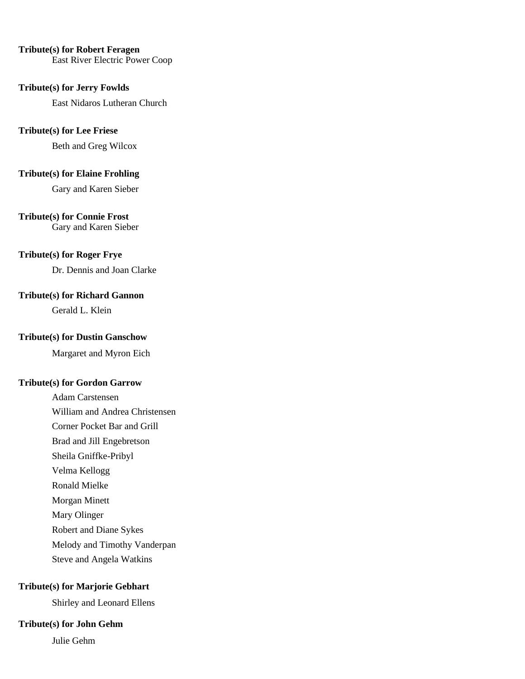#### **Tribute(s) for Robert Feragen**

East River Electric Power Coop

#### **Tribute(s) for Jerry Fowlds**

East Nidaros Lutheran Church

## **Tribute(s) for Lee Friese**

Beth and Greg Wilcox

# **Tribute(s) for Elaine Frohling**

Gary and Karen Sieber

## **Tribute(s) for Connie Frost**

Gary and Karen Sieber

## **Tribute(s) for Roger Frye**

Dr. Dennis and Joan Clarke

## **Tribute(s) for Richard Gannon**

Gerald L. Klein

## **Tribute(s) for Dustin Ganschow**

Margaret and Myron Eich

#### **Tribute(s) for Gordon Garrow**

Adam Carstensen William and Andrea Christensen Corner Pocket Bar and Grill Brad and Jill Engebretson Sheila Gniffke-Pribyl Velma Kellogg Ronald Mielke Morgan Minett Mary Olinger Robert and Diane Sykes Melody and Timothy Vanderpan

Steve and Angela Watkins

## **Tribute(s) for Marjorie Gebhart**

Shirley and Leonard Ellens

## **Tribute(s) for John Gehm**

Julie Gehm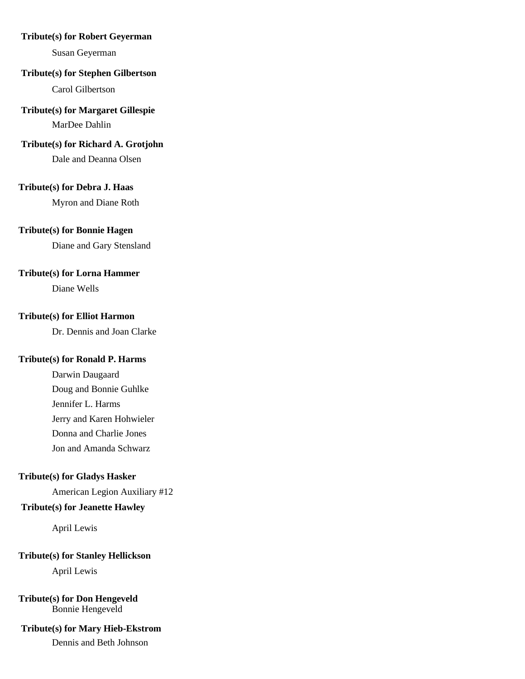#### **Tribute(s) for Robert Geyerman**

Susan Geyerman

### **Tribute(s) for Stephen Gilbertson**

Carol Gilbertson

## **Tribute(s) for Margaret Gillespie**

MarDee Dahlin

## **Tribute(s) for Richard A. Grotjohn**

Dale and Deanna Olsen

## **Tribute(s) for Debra J. Haas**

Myron and Diane Roth

## **Tribute(s) for Bonnie Hagen**

Diane and Gary Stensland

### **Tribute(s) for Lorna Hammer**

Diane Wells

## **Tribute(s) for Elliot Harmon**

Dr. Dennis and Joan Clarke

### **Tribute(s) for Ronald P. Harms**

Darwin Daugaard Doug and Bonnie Guhlke Jennifer L. Harms Jerry and Karen Hohwieler Donna and Charlie Jones Jon and Amanda Schwarz

## **Tribute(s) for Gladys Hasker**

American Legion Auxiliary #12

## **Tribute(s) for Jeanette Hawley**

April Lewis

### **Tribute(s) for Stanley Hellickson**

April Lewis

### **Tribute(s) for Don Hengeveld** Bonnie Hengeveld

## **Tribute(s) for Mary Hieb-Ekstrom**

Dennis and Beth Johnson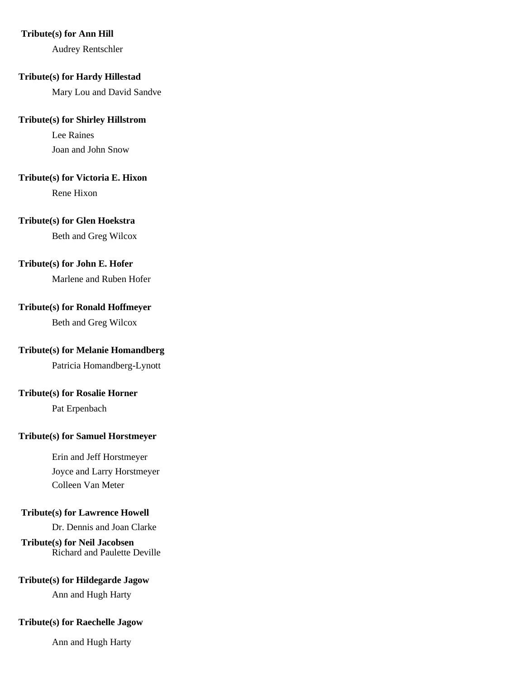#### **Tribute(s) for Ann Hill**

Audrey Rentschler

#### **Tribute(s) for Hardy Hillestad**

Mary Lou and David Sandve

#### **Tribute(s) for Shirley Hillstrom**

Lee Raines Joan and John Snow

# **Tribute(s) for Victoria E. Hixon**

Rene Hixon

## **Tribute(s) for Glen Hoekstra**

Beth and Greg Wilcox

## **Tribute(s) for John E. Hofer**

Marlene and Ruben Hofer

## **Tribute(s) for Ronald Hoffmeyer**

Beth and Greg Wilcox

## **Tribute(s) for Melanie Homandberg**

Patricia Homandberg-Lynott

## **Tribute(s) for Rosalie Horner**

Pat Erpenbach

## **Tribute(s) for Samuel Horstmeyer**

Erin and Jeff Horstmeyer Joyce and Larry Horstmeyer Colleen Van Meter

### **Tribute(s) for Lawrence Howell**

Dr. Dennis and Joan Clarke

**Tribute(s) for Neil Jacobsen** Richard and Paulette Deville

## **Tribute(s) for Hildegarde Jagow**

Ann and Hugh Harty

## **Tribute(s) for Raechelle Jagow**

Ann and Hugh Harty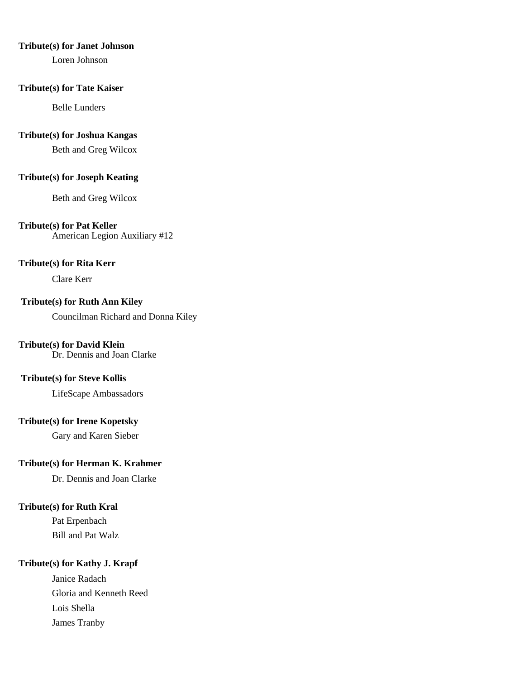#### **Tribute(s) for Janet Johnson**

Loren Johnson

#### **Tribute(s) for Tate Kaiser**

Belle Lunders

#### **Tribute(s) for Joshua Kangas**

Beth and Greg Wilcox

### **Tribute(s) for Joseph Keating**

Beth and Greg Wilcox

## **Tribute(s) for Pat Keller**

American Legion Auxiliary #12

## **Tribute(s) for Rita Kerr**

Clare Kerr

## **Tribute(s) for Ruth Ann Kiley**

Councilman Richard and Donna Kiley

## **Tribute(s) for David Klein**

Dr. Dennis and Joan Clarke

### **Tribute(s) for Steve Kollis**

LifeScape Ambassadors

## **Tribute(s) for Irene Kopetsky**

Gary and Karen Sieber

# **Tribute(s) for Herman K. Krahmer**

Dr. Dennis and Joan Clarke

## **Tribute(s) for Ruth Kral**

Pat Erpenbach Bill and Pat Walz

## **Tribute(s) for Kathy J. Krapf**

Janice Radach Gloria and Kenneth Reed Lois Shella James Tranby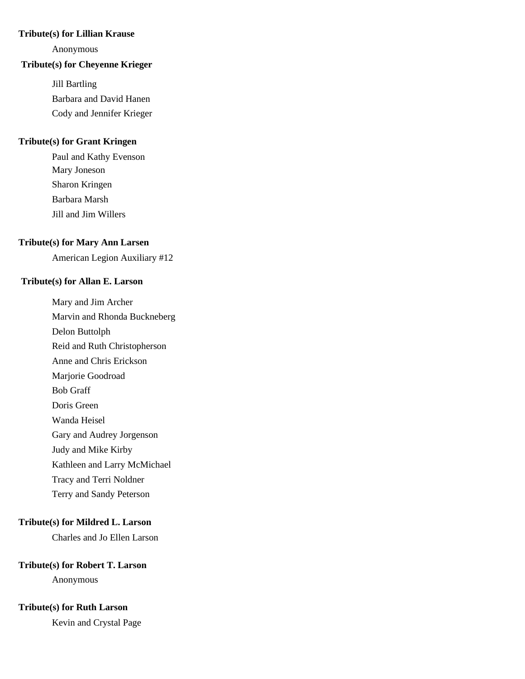# **Tribute(s) for Lillian Krause**

Anonymous

#### **Tribute(s) for Cheyenne Krieger**

Jill Bartling Barbara and David Hanen Cody and Jennifer Krieger

# **Tribute(s) for Grant Kringen**

Paul and Kathy Evenson Mary Joneson Sharon Kringen Barbara Marsh Jill and Jim Willers

## **Tribute(s) for Mary Ann Larsen**

American Legion Auxiliary #12

#### **Tribute(s) for Allan E. Larson**

Mary and Jim Archer Marvin and Rhonda Buckneberg Delon Buttolph Reid and Ruth Christopherson Anne and Chris Erickson Marjorie Goodroad Bob Graff Doris Green Wanda Heisel Gary and Audrey Jorgenson

Judy and Mike Kirby

Kathleen and Larry McMichael

Tracy and Terri Noldner

Terry and Sandy Peterson

#### **Tribute(s) for Mildred L. Larson**

Charles and Jo Ellen Larson

## **Tribute(s) for Robert T. Larson**

Anonymous

# **Tribute(s) for Ruth Larson**

Kevin and Crystal Page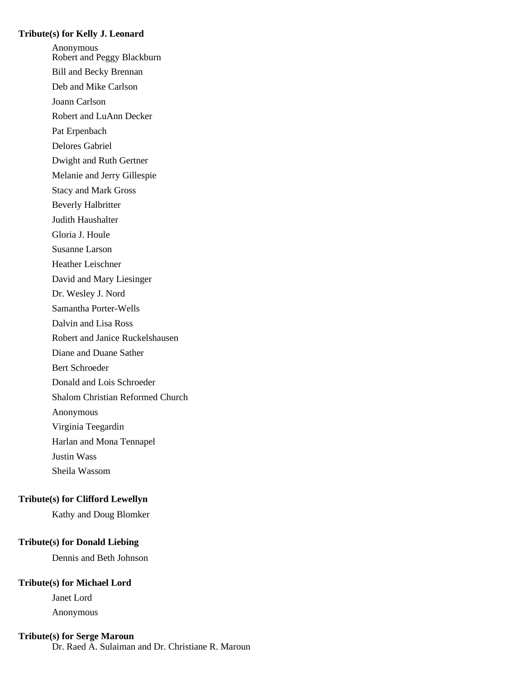#### **Tribute(s) for Kelly J. Leonard**

Anonymous Robert and Peggy Blackburn Bill and Becky Brennan Deb and Mike Carlson Joann Carlson Robert and LuAnn Decker Pat Erpenbach Delores Gabriel Dwight and Ruth Gertner Melanie and Jerry Gillespie Stacy and Mark Gross Beverly Halbritter Judith Haushalter Gloria J. Houle Susanne Larson Heather Leischner David and Mary Liesinger Dr. Wesley J. Nord Samantha Porter-Wells Dalvin and Lisa Ross Robert and Janice Ruckelshausen Diane and Duane Sather Bert Schroeder Donald and Lois Schroeder Shalom Christian Reformed Church Anonymous Virginia Teegardin Harlan and Mona Tennapel Justin Wass Sheila Wassom

### **Tribute(s) for Clifford Lewellyn**

Kathy and Doug Blomker

# **Tribute(s) for Donald Liebing**

Dennis and Beth Johnson

### **Tribute(s) for Michael Lord**

Janet Lord Anonymous

#### **Tribute(s) for Serge Maroun**

Dr. Raed A. Sulaiman and Dr. Christiane R. Maroun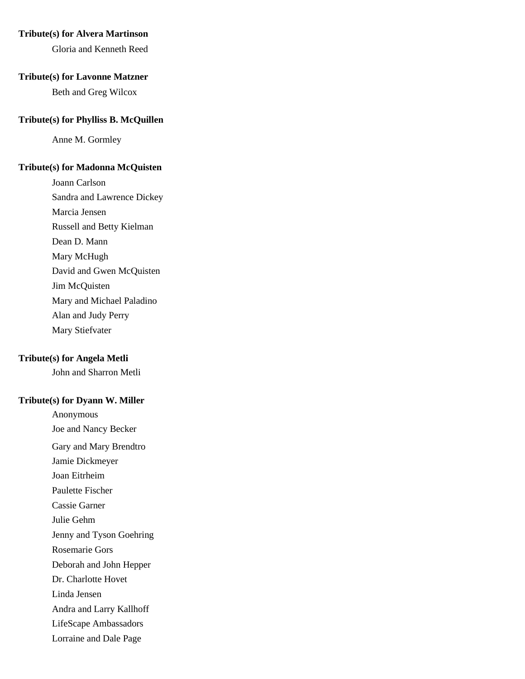## **Tribute(s) for Alvera Martinson**

Gloria and Kenneth Reed

#### **Tribute(s) for Lavonne Matzner**

Beth and Greg Wilcox

#### **Tribute(s) for Phylliss B. McQuillen**

Anne M. Gormley

#### **Tribute(s) for Madonna McQuisten**

Joann Carlson Sandra and Lawrence Dickey Marcia Jensen Russell and Betty Kielman Dean D. Mann Mary McHugh David and Gwen McQuisten Jim McQuisten Mary and Michael Paladino Alan and Judy Perry Mary Stiefvater

#### **Tribute(s) for Angela Metli**

John and Sharron Metli

#### **Tribute(s) for Dyann W. Miller**

Anonymous Joe and Nancy Becker Gary and Mary Brendtro Jamie Dickmeyer Joan Eitrheim Paulette Fischer Cassie Garner Julie Gehm Jenny and Tyson Goehring Rosemarie Gors Deborah and John Hepper Dr. Charlotte Hovet Linda Jensen Andra and Larry Kallhoff LifeScape Ambassadors Lorraine and Dale Page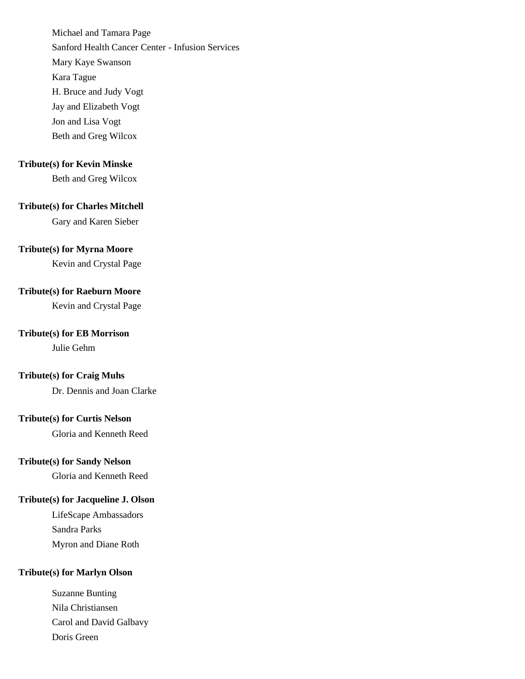Michael and Tamara Page Sanford Health Cancer Center - Infusion Services Mary Kaye Swanson Kara Tague H. Bruce and Judy Vogt Jay and Elizabeth Vogt Jon and Lisa Vogt Beth and Greg Wilcox

### **Tribute(s) for Kevin Minske**

Beth and Greg Wilcox

# **Tribute(s) for Charles Mitchell**

Gary and Karen Sieber

## **Tribute(s) for Myrna Moore**

Kevin and Crystal Page

### **Tribute(s) for Raeburn Moore**

Kevin and Crystal Page

### **Tribute(s) for EB Morrison**

Julie Gehm

## **Tribute(s) for Craig Muhs**

Dr. Dennis and Joan Clarke

#### **Tribute(s) for Curtis Nelson**

Gloria and Kenneth Reed

### **Tribute(s) for Sandy Nelson**

Gloria and Kenneth Reed

## **Tribute(s) for Jacqueline J. Olson**

LifeScape Ambassadors Sandra Parks Myron and Diane Roth

## **Tribute(s) for Marlyn Olson**

Suzanne Bunting Nila Christiansen Carol and David Galbavy Doris Green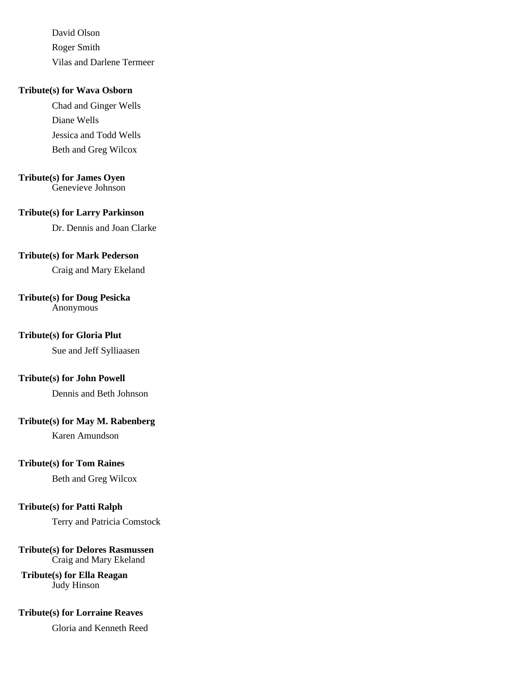David Olson Roger Smith Vilas and Darlene Termeer

## **Tribute(s) for Wava Osborn**

Chad and Ginger Wells Diane Wells Jessica and Todd Wells Beth and Greg Wilcox

### **Tribute(s) for James Oyen**

Genevieve Johnson

#### **Tribute(s) for Larry Parkinson**

Dr. Dennis and Joan Clarke

## **Tribute(s) for Mark Pederson**

Craig and Mary Ekeland

## **Tribute(s) for Doug Pesicka**

Anonymous

## **Tribute(s) for Gloria Plut**

Sue and Jeff Sylliaasen

## **Tribute(s) for John Powell**

Dennis and Beth Johnson

## **Tribute(s) for May M. Rabenberg**

Karen Amundson

## **Tribute(s) for Tom Raines**

Beth and Greg Wilcox

### **Tribute(s) for Patti Ralph**

Terry and Patricia Comstock

#### **Tribute(s) for Delores Rasmussen** Craig and Mary Ekeland

**Tribute(s) for Ella Reagan** Judy Hinson

## **Tribute(s) for Lorraine Reaves**

Gloria and Kenneth Reed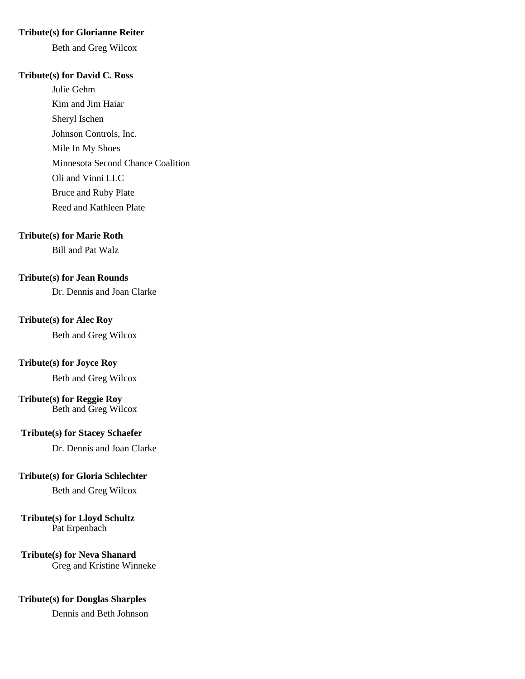#### **Tribute(s) for Glorianne Reiter**

Beth and Greg Wilcox

#### **Tribute(s) for David C. Ross**

Julie Gehm Kim and Jim Haiar Sheryl Ischen Johnson Controls, Inc. Mile In My Shoes Minnesota Second Chance Coalition Oli and Vinni LLC Bruce and Ruby Plate Reed and Kathleen Plate

## **Tribute(s) for Marie Roth**

Bill and Pat Walz

## **Tribute(s) for Jean Rounds**

Dr. Dennis and Joan Clarke

#### **Tribute(s) for Alec Roy**

Beth and Greg Wilcox

## **Tribute(s) for Joyce Roy**

Beth and Greg Wilcox

## **Tribute(s) for Reggie Roy**

Beth and Greg Wilcox

#### **Tribute(s) for Stacey Schaefer**

Dr. Dennis and Joan Clarke

#### **Tribute(s) for Gloria Schlechter**

Beth and Greg Wilcox

## **Tribute(s) for Lloyd Schultz**

Pat Erpenbach

## **Tribute(s) for Neva Shanard**

Greg and Kristine Winneke

## **Tribute(s) for Douglas Sharples**

Dennis and Beth Johnson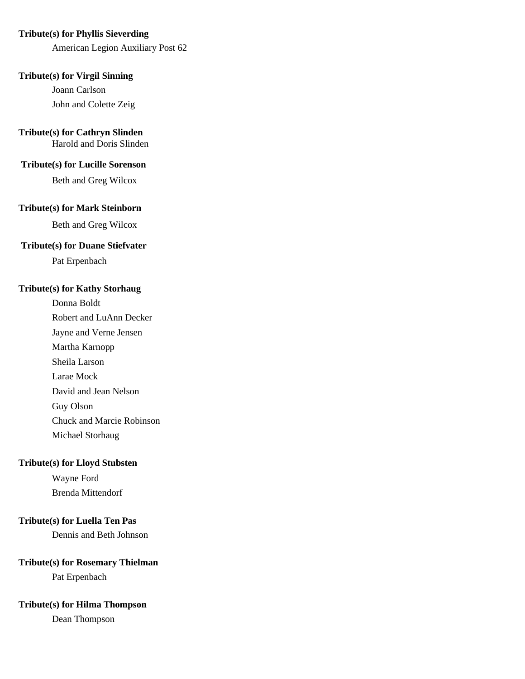#### **Tribute(s) for Phyllis Sieverding**

American Legion Auxiliary Post 62

## **Tribute(s) for Virgil Sinning**

Joann Carlson John and Colette Zeig

## **Tribute(s) for Cathryn Slinden**

Harold and Doris Slinden

#### **Tribute(s) for Lucille Sorenson**

Beth and Greg Wilcox

## **Tribute(s) for Mark Steinborn**

Beth and Greg Wilcox

## **Tribute(s) for Duane Stiefvater**

Pat Erpenbach

## **Tribute(s) for Kathy Storhaug**

Donna Boldt Robert and LuAnn Decker Jayne and Verne Jensen Martha Karnopp Sheila Larson Larae Mock David and Jean Nelson Guy Olson Chuck and Marcie Robinson Michael Storhaug

## **Tribute(s) for Lloyd Stubsten**

Wayne Ford Brenda Mittendorf

## **Tribute(s) for Luella Ten Pas**

Dennis and Beth Johnson

#### **Tribute(s) for Rosemary Thielman**

Pat Erpenbach

#### **Tribute(s) for Hilma Thompson**

Dean Thompson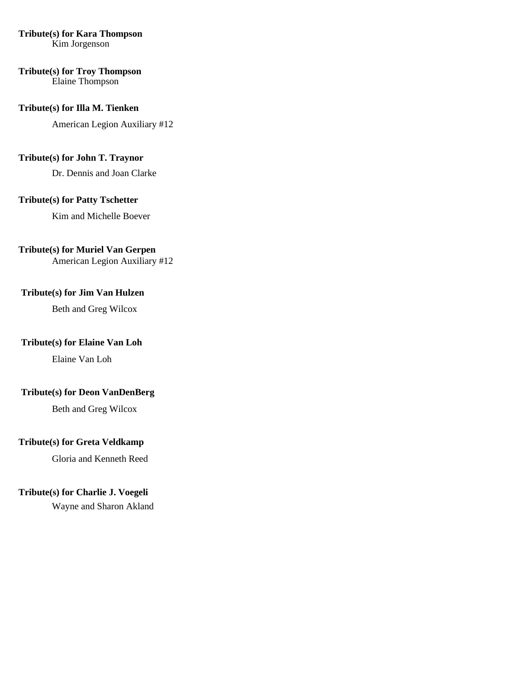# **Tribute(s) for Kara Thompson**

Kim Jorgenson

#### **Tribute(s) for Troy Thompson** Elaine Thompson

## **Tribute(s) for Illa M. Tienken**

American Legion Auxiliary #12

## **Tribute(s) for John T. Traynor**

Dr. Dennis and Joan Clarke

# **Tribute(s) for Patty Tschetter**

Kim and Michelle Boever

## **Tribute(s) for Muriel Van Gerpen**

American Legion Auxiliary #12

## **Tribute(s) for Jim Van Hulzen**

Beth and Greg Wilcox

## **Tribute(s) for Elaine Van Loh**

Elaine Van Loh

## **Tribute(s) for Deon VanDenBerg**

Beth and Greg Wilcox

# **Tribute(s) for Greta Veldkamp**

Gloria and Kenneth Reed

# **Tribute(s) for Charlie J. Voegeli**

Wayne and Sharon Akland